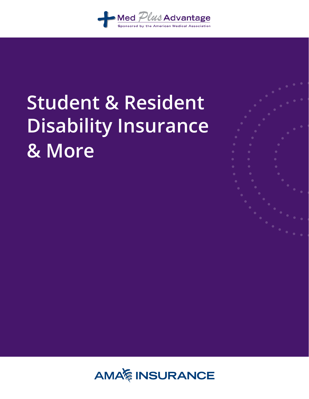

# **Student & Resident Disability Insurance & More**

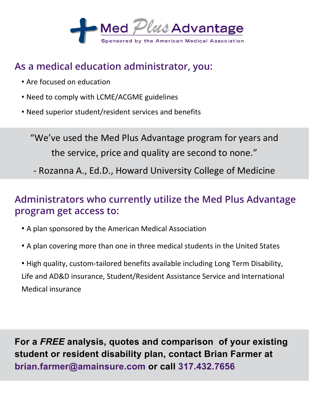

#### **As a medical education administrator, you:**

- **•** Are focused on education
- **•** Need to comply with LCME/ACGME guidelines
- **•** Need superior student/resident services and benefits

"We've used the Med Plus Advantage program for years and the service, price and quality are second to none."

- Rozanna A., Ed.D., Howard University College of Medicine

#### **Administrators who currently utilize the Med Plus Advantage program get access to:**

- **•** A plan sponsored by the American Medical Association
- **•** A plan covering more than one in three medical students in the United States
- **•** High quality, custom-tailored benefits available including Long Term Disability, Life and AD&D insurance, Student/Resident Assistance Service and International Medical insurance

**For a** *FREE* **analysis, quotes and comparison of your existing student or resident disability plan, contact Brian Farmer at brian.farmer@amainsure.com or call 317.432.7656**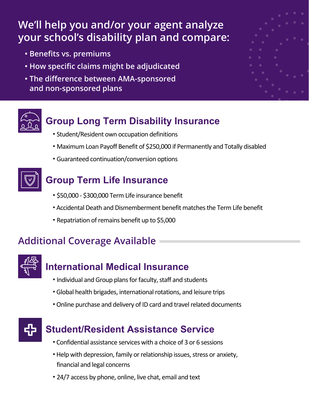### **We'll help you and/or your agent analyze your school's disability plan and compare:**

- **Benefits vs. premiums**
- **How specific claims might be adjudicated**
- **• The difference between AMA-sponsored and non-sponsored plans**





#### **Group Long Term Disability Insurance**

- Student/Resident own occupation definitions
- Maximum Loan Payoff Benefit of \$250,000 if Permanently and Totally disabled
- Guaranteed continuation/conversion options



#### **Group Term Life Insurance**

- \$50,000 \$300,000 Term Life insurance benefit
- Accidental Death and Dismemberment benefit matches the Term Life benefit
- Repatriation of remains benefit up to \$5,000

#### **Additional Coverage Available**



#### **International Medical Insurance**

- Individual and Group plans for faculty, staff and students
- Global health brigades, international rotations, and leisure trips
- Online purchase and delivery of ID card and travel related documents



#### **Student/Resident Assistance Service**

- Confidential assistance services with a choice of 3 or 6 sessions
- Help with depression, family or relationship issues, stress or anxiety, financial and legal concerns
- 24/7 access by phone, online, live chat, email and text